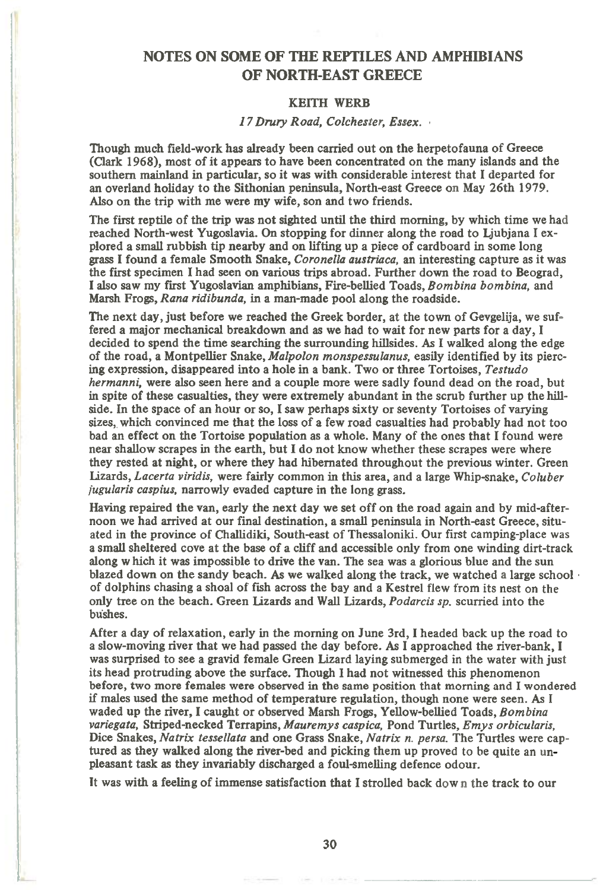# **NOTES ON SOME OF THE REPTILES AND AMPHIBIANS OF NORTH-EAST GREECE**

## **KEITH WERE**

### *17 Drury Road, Colchester, Essex.*

**Though much field-work has already been carried out on the herpetofauna of Greece (Clark 1968), most of it appears to have been concentrated on the many islands and the southern mainland in particular, so it was with considerable interest that I departed for an overland holiday to the Sithonian peninsula, North-east Greece on May 26th 1979. Also on the trip with me were my wife, son and two friends.** 

**The first reptile of the trip was not sighted until the third morning, by which time we had reached North-west Yugoslavia. On stopping for dinner along the road to Ljubjana I explored a small rubbish tip nearby and on lifting up a piece of cardboard in some long grass I found a female Smooth Snake,** *Coronella austriaca,* **an interesting capture as it was the first specimen I had seen on various trips abroad. Further down the road to Beograd, I also saw my first Yugoslavian amphibians, Fire-bellied Toads,** *Bombina bornbina,* **and Marsh Frogs,** *Rana ridibunda, in a* **man-made pool along the roadside.** 

**The next day, just before we reached the Greek border, at the town of Gevgelija, we suffered a major mechanical breakdown and as we had to wait for new parts for a day, I decided to spend the time searching the surrounding hillsides. As I walked along the edge of the road, a Montpellier Snake,** *Malpolon monspessulanus,* **easily identified by its piercing expression, disappeared into a hole in a bank. Two or three Tortoises,** *Testudo hermanni,* **were also seen here and a couple more were sadly found dead on the road, but in spite of these casualties, they were extremely abundant in the scrub further up the hillside. In the space of an hour or so, I saw perhaps sixty or seventy Tortoises of varying sizes,**, **which convinced me that the loss of a few road casualties had probably had not too bad an effect on the Tortoise population as a whole. Many of the ones that I found were near shallow scrapes in the earth, but I do not know whether these scrapes were where they rested at night, or where they had hibernated throughout the previous winter. Green Lizards,** *Lacerta viridis,* **were fairly common in this area, and a large Whip-snake,** *Coluber fugularis caspius,* **narrowly evaded capture in the long grass.** 

**Having repaired the van, early the next day we set off on the road again and by mid-afternoon we had arrived at our final destination, a small peninsula in North-east Greece, situated in the province of Challidiki, South-east of Thessaloniki. Our first camping-place** was **a small sheltered cove at the base of a cliff and accessible only from one winding dirt-track along w hich it was impossible to drive the van. The sea was a glorious blue and the sun blazed down on the sandy beach. As we walked along the track, we watched a large school • of dolphins chasing a shoal of fish across the bay and a Kestrel flew from its nest on the only tree on the beach. Green Lizards and Wall Lizards,** *Podarcis sp.* **scurried into the**  bushes.

**After a day of relaxation, early in the morning on June 3rd, I headed back up the road to a slow-moving river that we had passed the day before. As I approached the river-bank, I was surprised to see a gravid female Green Lizard laying submerged in the water with just its head protruding above the surface. Though I had not witnessed this phenomenon before, two more females were observed in the same position that morning and I wondered if males used the same method of temperature regulation, though none were seen. As I waded up the river, I caught or observed Marsh Frogs, Yellow-bellied Toads,** *Bornbina variegata,* **Striped-necked Terrapins,** *Mauremys caspica,* **Pond Turtles,** *Emys orbicularis,*  **Dice Snakes,** *Natrix tessellata* **and one Grass Snake,** *Natrix n. persa.* **The Turtles were captured as they walked along the river-bed and picking them up proved to he quite an unpleasant task as they invariably discharged a foul-smelling defence odour.** 

**It was with a feeling of immense satisfaction that I strolled back down the track to our**